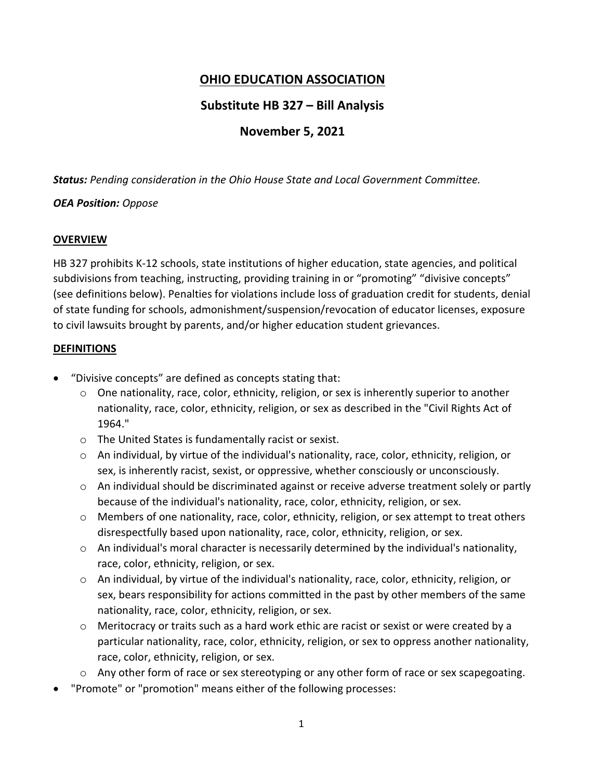# **OHIO EDUCATION ASSOCIATION**

# **Substitute HB 327 – Bill Analysis**

# **November 5, 2021**

*Status: Pending consideration in the Ohio House State and Local Government Committee.* 

#### *OEA Position: Oppose*

#### **OVERVIEW**

HB 327 prohibits K-12 schools, state institutions of higher education, state agencies, and political subdivisions from teaching, instructing, providing training in or "promoting" "divisive concepts" (see definitions below). Penalties for violations include loss of graduation credit for students, denial of state funding for schools, admonishment/suspension/revocation of educator licenses, exposure to civil lawsuits brought by parents, and/or higher education student grievances.

#### **DEFINITIONS**

- "Divisive concepts" are defined as concepts stating that:
	- $\circ$  One nationality, race, color, ethnicity, religion, or sex is inherently superior to another nationality, race, color, ethnicity, religion, or sex as described in the "Civil Rights Act of 1964."
	- o The United States is fundamentally racist or sexist.
	- $\circ$  An individual, by virtue of the individual's nationality, race, color, ethnicity, religion, or sex, is inherently racist, sexist, or oppressive, whether consciously or unconsciously.
	- o An individual should be discriminated against or receive adverse treatment solely or partly because of the individual's nationality, race, color, ethnicity, religion, or sex.
	- $\circ$  Members of one nationality, race, color, ethnicity, religion, or sex attempt to treat others disrespectfully based upon nationality, race, color, ethnicity, religion, or sex.
	- $\circ$  An individual's moral character is necessarily determined by the individual's nationality, race, color, ethnicity, religion, or sex.
	- $\circ$  An individual, by virtue of the individual's nationality, race, color, ethnicity, religion, or sex, bears responsibility for actions committed in the past by other members of the same nationality, race, color, ethnicity, religion, or sex.
	- o Meritocracy or traits such as a hard work ethic are racist or sexist or were created by a particular nationality, race, color, ethnicity, religion, or sex to oppress another nationality, race, color, ethnicity, religion, or sex.
	- $\circ$  Any other form of race or sex stereotyping or any other form of race or sex scapegoating.
- "Promote" or "promotion" means either of the following processes: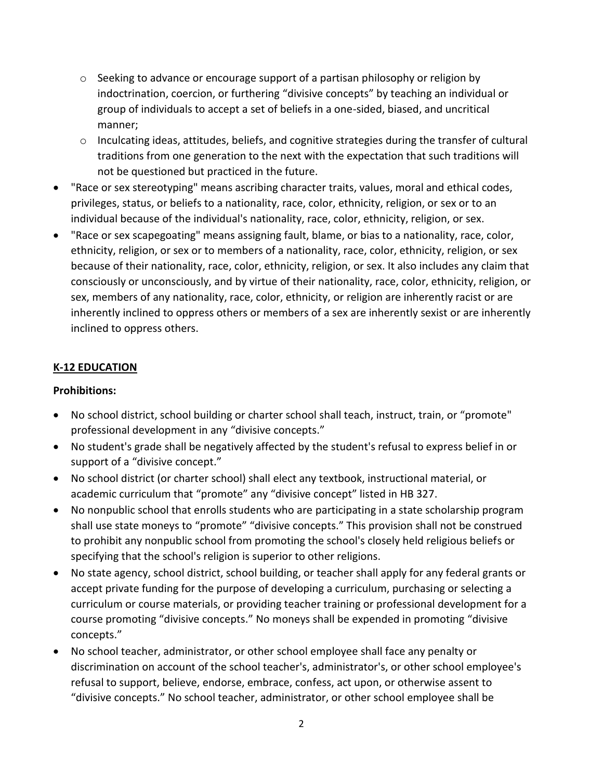- $\circ$  Seeking to advance or encourage support of a partisan philosophy or religion by indoctrination, coercion, or furthering "divisive concepts" by teaching an individual or group of individuals to accept a set of beliefs in a one-sided, biased, and uncritical manner;
- o Inculcating ideas, attitudes, beliefs, and cognitive strategies during the transfer of cultural traditions from one generation to the next with the expectation that such traditions will not be questioned but practiced in the future.
- "Race or sex stereotyping" means ascribing character traits, values, moral and ethical codes, privileges, status, or beliefs to a nationality, race, color, ethnicity, religion, or sex or to an individual because of the individual's nationality, race, color, ethnicity, religion, or sex.
- "Race or sex scapegoating" means assigning fault, blame, or bias to a nationality, race, color, ethnicity, religion, or sex or to members of a nationality, race, color, ethnicity, religion, or sex because of their nationality, race, color, ethnicity, religion, or sex. It also includes any claim that consciously or unconsciously, and by virtue of their nationality, race, color, ethnicity, religion, or sex, members of any nationality, race, color, ethnicity, or religion are inherently racist or are inherently inclined to oppress others or members of a sex are inherently sexist or are inherently inclined to oppress others.

### **K-12 EDUCATION**

### **Prohibitions:**

- No school district, school building or charter school shall teach, instruct, train, or "promote" professional development in any "divisive concepts."
- No student's grade shall be negatively affected by the student's refusal to express belief in or support of a "divisive concept."
- No school district (or charter school) shall elect any textbook, instructional material, or academic curriculum that "promote" any "divisive concept" listed in HB 327.
- No nonpublic school that enrolls students who are participating in a state scholarship program shall use state moneys to "promote" "divisive concepts." This provision shall not be construed to prohibit any nonpublic school from promoting the school's closely held religious beliefs or specifying that the school's religion is superior to other religions.
- No state agency, school district, school building, or teacher shall apply for any federal grants or accept private funding for the purpose of developing a curriculum, purchasing or selecting a curriculum or course materials, or providing teacher training or professional development for a course promoting "divisive concepts." No moneys shall be expended in promoting "divisive concepts."
- No school teacher, administrator, or other school employee shall face any penalty or discrimination on account of the school teacher's, administrator's, or other school employee's refusal to support, believe, endorse, embrace, confess, act upon, or otherwise assent to "divisive concepts." No school teacher, administrator, or other school employee shall be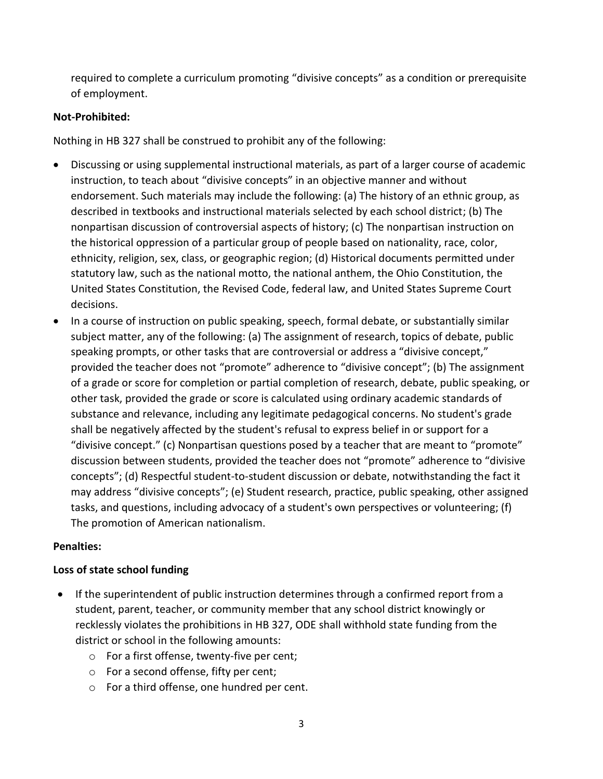required to complete a curriculum promoting "divisive concepts" as a condition or prerequisite of employment.

## **Not-Prohibited:**

Nothing in HB 327 shall be construed to prohibit any of the following:

- Discussing or using supplemental instructional materials, as part of a larger course of academic instruction, to teach about "divisive concepts" in an objective manner and without endorsement. Such materials may include the following: (a) The history of an ethnic group, as described in textbooks and instructional materials selected by each school district; (b) The nonpartisan discussion of controversial aspects of history; (c) The nonpartisan instruction on the historical oppression of a particular group of people based on nationality, race, color, ethnicity, religion, sex, class, or geographic region; (d) Historical documents permitted under statutory law, such as the national motto, the national anthem, the Ohio Constitution, the United States Constitution, the Revised Code, federal law, and United States Supreme Court decisions.
- In a course of instruction on public speaking, speech, formal debate, or substantially similar subject matter, any of the following: (a) The assignment of research, topics of debate, public speaking prompts, or other tasks that are controversial or address a "divisive concept," provided the teacher does not "promote" adherence to "divisive concept"; (b) The assignment of a grade or score for completion or partial completion of research, debate, public speaking, or other task, provided the grade or score is calculated using ordinary academic standards of substance and relevance, including any legitimate pedagogical concerns. No student's grade shall be negatively affected by the student's refusal to express belief in or support for a "divisive concept." (c) Nonpartisan questions posed by a teacher that are meant to "promote" discussion between students, provided the teacher does not "promote" adherence to "divisive concepts"; (d) Respectful student-to-student discussion or debate, notwithstanding the fact it may address "divisive concepts"; (e) Student research, practice, public speaking, other assigned tasks, and questions, including advocacy of a student's own perspectives or volunteering; (f) The promotion of American nationalism.

### **Penalties:**

### **Loss of state school funding**

- If the superintendent of public instruction determines through a confirmed report from a student, parent, teacher, or community member that any school district knowingly or recklessly violates the prohibitions in HB 327, ODE shall withhold state funding from the district or school in the following amounts:
	- o For a first offense, twenty-five per cent;
	- o For a second offense, fifty per cent;
	- o For a third offense, one hundred per cent.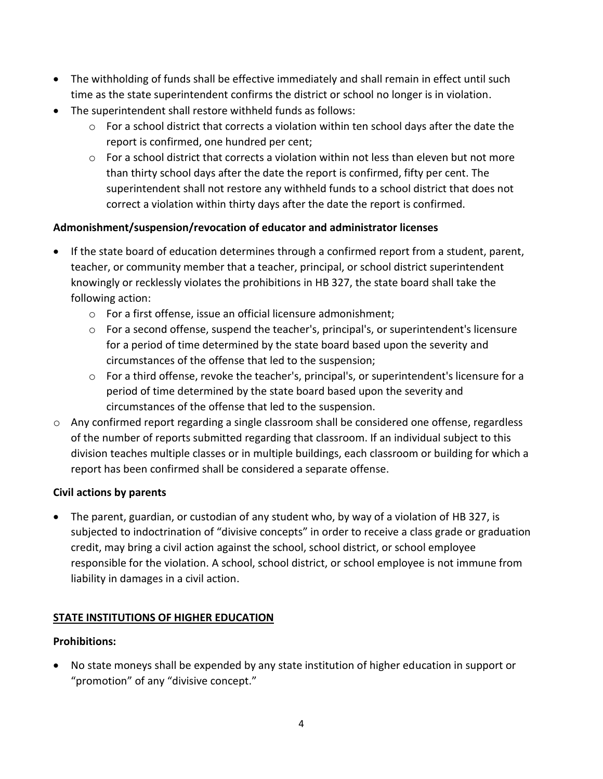- The withholding of funds shall be effective immediately and shall remain in effect until such time as the state superintendent confirms the district or school no longer is in violation.
- The superintendent shall restore withheld funds as follows:
	- $\circ$  For a school district that corrects a violation within ten school days after the date the report is confirmed, one hundred per cent;
	- o For a school district that corrects a violation within not less than eleven but not more than thirty school days after the date the report is confirmed, fifty per cent. The superintendent shall not restore any withheld funds to a school district that does not correct a violation within thirty days after the date the report is confirmed.

## **Admonishment/suspension/revocation of educator and administrator licenses**

- If the state board of education determines through a confirmed report from a student, parent, teacher, or community member that a teacher, principal, or school district superintendent knowingly or recklessly violates the prohibitions in HB 327, the state board shall take the following action:
	- o For a first offense, issue an official licensure admonishment;
	- $\circ$  For a second offense, suspend the teacher's, principal's, or superintendent's licensure for a period of time determined by the state board based upon the severity and circumstances of the offense that led to the suspension;
	- $\circ$  For a third offense, revoke the teacher's, principal's, or superintendent's licensure for a period of time determined by the state board based upon the severity and circumstances of the offense that led to the suspension.
- $\circ$  Any confirmed report regarding a single classroom shall be considered one offense, regardless of the number of reports submitted regarding that classroom. If an individual subject to this division teaches multiple classes or in multiple buildings, each classroom or building for which a report has been confirmed shall be considered a separate offense.

### **Civil actions by parents**

• The parent, guardian, or custodian of any student who, by way of a violation of HB 327, is subjected to indoctrination of "divisive concepts" in order to receive a class grade or graduation credit, may bring a civil action against the school, school district, or school employee responsible for the violation. A school, school district, or school employee is not immune from liability in damages in a civil action.

### **STATE INSTITUTIONS OF HIGHER EDUCATION**

### **Prohibitions:**

• No state moneys shall be expended by any state institution of higher education in support or "promotion" of any "divisive concept."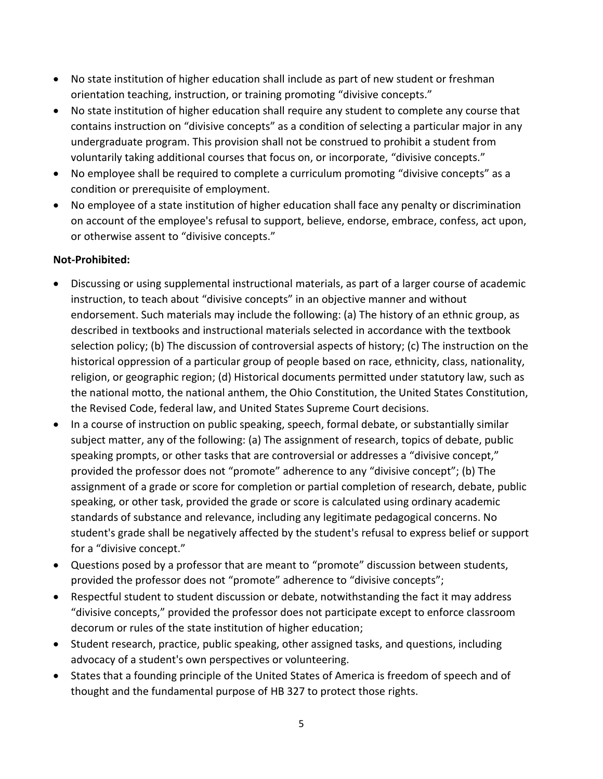- No state institution of higher education shall include as part of new student or freshman orientation teaching, instruction, or training promoting "divisive concepts."
- No state institution of higher education shall require any student to complete any course that contains instruction on "divisive concepts" as a condition of selecting a particular major in any undergraduate program. This provision shall not be construed to prohibit a student from voluntarily taking additional courses that focus on, or incorporate, "divisive concepts."
- No employee shall be required to complete a curriculum promoting "divisive concepts" as a condition or prerequisite of employment.
- No employee of a state institution of higher education shall face any penalty or discrimination on account of the employee's refusal to support, believe, endorse, embrace, confess, act upon, or otherwise assent to "divisive concepts."

## **Not-Prohibited:**

- Discussing or using supplemental instructional materials, as part of a larger course of academic instruction, to teach about "divisive concepts" in an objective manner and without endorsement. Such materials may include the following: (a) The history of an ethnic group, as described in textbooks and instructional materials selected in accordance with the textbook selection policy; (b) The discussion of controversial aspects of history; (c) The instruction on the historical oppression of a particular group of people based on race, ethnicity, class, nationality, religion, or geographic region; (d) Historical documents permitted under statutory law, such as the national motto, the national anthem, the Ohio Constitution, the United States Constitution, the Revised Code, federal law, and United States Supreme Court decisions.
- In a course of instruction on public speaking, speech, formal debate, or substantially similar subject matter, any of the following: (a) The assignment of research, topics of debate, public speaking prompts, or other tasks that are controversial or addresses a "divisive concept," provided the professor does not "promote" adherence to any "divisive concept"; (b) The assignment of a grade or score for completion or partial completion of research, debate, public speaking, or other task, provided the grade or score is calculated using ordinary academic standards of substance and relevance, including any legitimate pedagogical concerns. No student's grade shall be negatively affected by the student's refusal to express belief or support for a "divisive concept."
- Questions posed by a professor that are meant to "promote" discussion between students, provided the professor does not "promote" adherence to "divisive concepts";
- Respectful student to student discussion or debate, notwithstanding the fact it may address "divisive concepts," provided the professor does not participate except to enforce classroom decorum or rules of the state institution of higher education;
- Student research, practice, public speaking, other assigned tasks, and questions, including advocacy of a student's own perspectives or volunteering.
- States that a founding principle of the United States of America is freedom of speech and of thought and the fundamental purpose of HB 327 to protect those rights.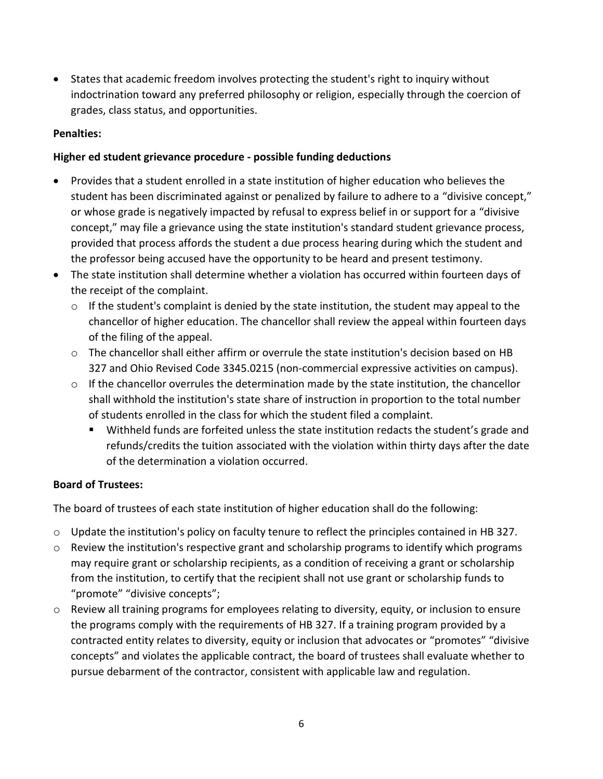• States that academic freedom involves protecting the student's right to inquiry without indoctrination toward any preferred philosophy or religion, especially through the coercion of grades, class status, and opportunities.

#### **Penalties:**

#### **Higher ed student grievance procedure - possible funding deductions**

- Provides that a student enrolled in a state institution of higher education who believes the student has been discriminated against or penalized by failure to adhere to a "divisive concept," or whose grade is negatively impacted by refusal to express belief in or support for a "divisive concept," may file a grievance using the state institution's standard student grievance process, provided that process affords the student a due process hearing during which the student and the professor being accused have the opportunity to be heard and present testimony.
- The state institution shall determine whether a violation has occurred within fourteen days of the receipt of the complaint.
	- $\circ$  If the student's complaint is denied by the state institution, the student may appeal to the chancellor of higher education. The chancellor shall review the appeal within fourteen days of the filing of the appeal.
	- $\circ$  The chancellor shall either affirm or overrule the state institution's decision based on HB 327 and Ohio Revised Code 3345.0215 (non-commercial expressive activities on campus).
	- o If the chancellor overrules the determination made by the state institution, the chancellor shall withhold the institution's state share of instruction in proportion to the total number of students enrolled in the class for which the student filed a complaint.
		- Withheld funds are forfeited unless the state institution redacts the student's grade and refunds/credits the tuition associated with the violation within thirty days after the date of the determination a violation occurred.

### **Board of Trustees:**

The board of trustees of each state institution of higher education shall do the following:

- $\circ$  Update the institution's policy on faculty tenure to reflect the principles contained in HB 327.
- $\circ$  Review the institution's respective grant and scholarship programs to identify which programs may require grant or scholarship recipients, as a condition of receiving a grant or scholarship from the institution, to certify that the recipient shall not use grant or scholarship funds to "promote" "divisive concepts";
- $\circ$  Review all training programs for employees relating to diversity, equity, or inclusion to ensure the programs comply with the requirements of HB 327. If a training program provided by a contracted entity relates to diversity, equity or inclusion that advocates or "promotes" "divisive concepts" and violates the applicable contract, the board of trustees shall evaluate whether to pursue debarment of the contractor, consistent with applicable law and regulation.